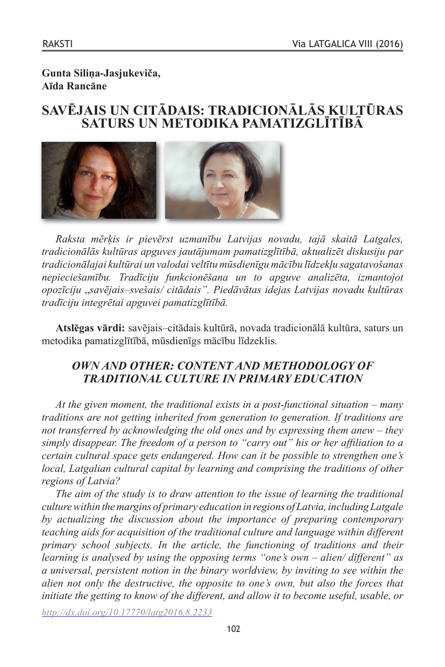# **Gunta Siliņa-Jasjukeviča, Aīda Rancāne**

# **SAVĒJAIS UN CITĀDAIS: TRADICIONĀLĀS KULTŪRAS SATURS UN METODIKA PAMATIZGLĪTĪBĀ**



*Raksta mērķis ir pievērst uzmanību Latvijas novadu, tajā skaitā Latgales, tradicionālās kultūras apguves jautājumam pamatizglītībā, aktualizēt diskusiju par tradicionālajai kultūrai un valodai veltītu mūsdienīgu mācību līdzekļu sagatavošanas nepieciešamību. Tradīciju funkcionēšana un to apguve analizēta, izmantojot opozīciju* "*savējais–svešais/ citādais". Piedāvātas idejas Latvijas novadu kultūras tradīciju integrētai apguvei pamatizglītībā.*

**Atslēgas vārdi:** savējais–citādais kultūrā, novada tradicionālā kultūra, saturs un metodika pamatizglītībā, mūsdienīgs mācību līdzeklis.

# *OWN AND OTHER: CONTENT AND METHODOLOGY OF TRADITIONAL CULTURE IN PRIMARY EDUCATION*

*At the given moment, the traditional exists in a post-functional situation – many traditions are not getting inherited from generation to generation. If traditions are not transferred by acknowledging the old ones and by expressing them anew – they simply disappear. The freedom of a person to "carry out" his or her affiliation to a certain cultural space gets endangered. How can it be possible to strengthen one's local, Latgalian cultural capital by learning and comprising the traditions of other regions of Latvia?*

*The aim of the study is to draw attention to the issue of learning the traditional culture within the margins of primary education in regions of Latvia, including Latgale by actualizing the discussion about the importance of preparing contemporary teaching aids for acquisition of the traditional culture and language within different primary school subjects. In the article, the functioning of traditions and their learning is analysed by using the opposing terms "one's own – alien/ different" as a universal, persistent notion in the binary worldview, by inviting to see within the alien not only the destructive, the opposite to one's own, but also the forces that initiate the getting to know of the different, and allow it to become useful, usable, or* 

*<http://dx.doi.org/10.17770/latg2016.8.2233>*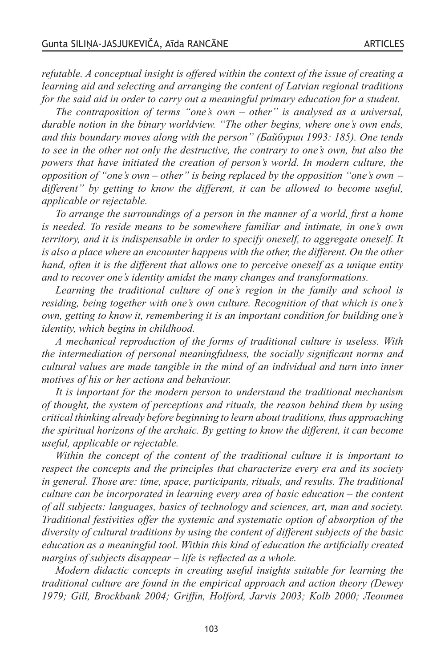*refutable. A conceptual insight is offered within the context of the issue of creating a learning aid and selecting and arranging the content of Latvian regional traditions for the said aid in order to carry out a meaningful primary education for a student.*

*The contraposition of terms "one's own – other" is analysed as a universal, durable notion in the binary worldview. "The other begins, where one's own ends, and this boundary moves along with the person" (Байбурин 1993: 185). One tends to see in the other not only the destructive, the contrary to one's own, but also the powers that have initiated the creation of person's world. In modern culture, the opposition of "one's own – other" is being replaced by the opposition "one's own – different" by getting to know the different, it can be allowed to become useful, applicable or rejectable.*

*To arrange the surroundings of a person in the manner of a world, first a home is needed. To reside means to be somewhere familiar and intimate, in one's own territory, and it is indispensable in order to specify oneself, to aggregate oneself. It is also a place where an encounter happens with the other, the different. On the other hand, often it is the different that allows one to perceive oneself as a unique entity and to recover one's identity amidst the many changes and transformations.*

*Learning the traditional culture of one's region in the family and school is residing, being together with one's own culture. Recognition of that which is one's own, getting to know it, remembering it is an important condition for building one's identity, which begins in childhood.*

*A mechanical reproduction of the forms of traditional culture is useless. With the intermediation of personal meaningfulness, the socially significant norms and cultural values are made tangible in the mind of an individual and turn into inner motives of his or her actions and behaviour.*

*It is important for the modern person to understand the traditional mechanism of thought, the system of perceptions and rituals, the reason behind them by using critical thinking already before beginning to learn about traditions, thus approaching the spiritual horizons of the archaic. By getting to know the different, it can become useful, applicable or rejectable.*

*Within the concept of the content of the traditional culture it is important to respect the concepts and the principles that characterize every era and its society in general. Those are: time, space, participants, rituals, and results. The traditional culture can be incorporated in learning every area of basic education – the content of all subjects: languages, basics of technology and sciences, art, man and society. Traditional festivities offer the systemic and systematic option of absorption of the diversity of cultural traditions by using the content of different subjects of the basic education as a meaningful tool. Within this kind of education the artificially created margins of subjects disappear – life is reflected as a whole.*

*Modern didactic concepts in creating useful insights suitable for learning the traditional culture are found in the empirical approach and action theory (Dewey 1979; Gill, Brockbank 2004; Griffin, Holford, Jarvis 2003; Kolb 2000; Леонтев*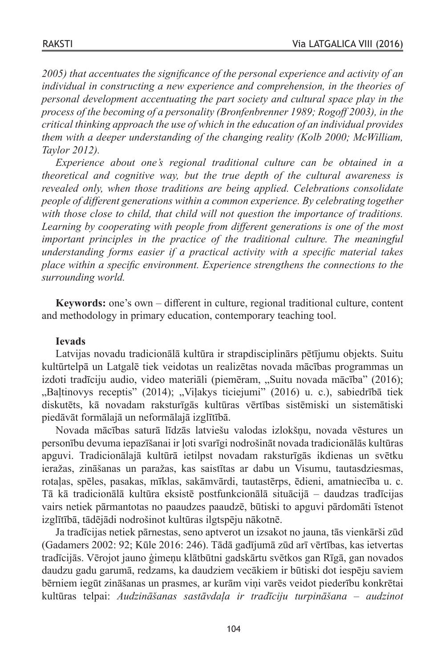*2005) that accentuates the significance of the personal experience and activity of an individual in constructing a new experience and comprehension, in the theories of personal development accentuating the part society and cultural space play in the process of the becoming of a personality (Bronfenbrenner 1989; Rogoff 2003), in the critical thinking approach the use of which in the education of an individual provides them with a deeper understanding of the changing reality (Kolb 2000; McWilliam, Taylor 2012).* 

*Experience about one's regional traditional culture can be obtained in a theoretical and cognitive way, but the true depth of the cultural awareness is revealed only, when those traditions are being applied. Celebrations consolidate people of different generations within a common experience. By celebrating together with those close to child, that child will not question the importance of traditions. Learning by cooperating with people from different generations is one of the most important principles in the practice of the traditional culture. The meaningful understanding forms easier if a practical activity with a specific material takes place within a specific environment. Experience strengthens the connections to the surrounding world.*

**Keywords:** one's own – different in culture, regional traditional culture, content and methodology in primary education, contemporary teaching tool.

### **Ievads**

Latvijas novadu tradicionālā kultūra ir strapdisciplinārs pētījumu objekts. Suitu kultūrtelpā un Latgalē tiek veidotas un realizētas novada mācības programmas un izdoti tradīciju audio, video materiāli (piemēram, "Suitu novada mācība" (2016); "Baļtinovys receptis" (2014); "Viļakys ticiejumi" (2016) u. c.), sabiedrībā tiek diskutēts, kā novadam raksturīgās kultūras vērtības sistēmiski un sistemātiski piedāvāt formālajā un neformālajā izglītībā.

Novada mācības saturā līdzās latviešu valodas izlokšņu, novada vēstures un personību devuma iepazīšanai ir ļoti svarīgi nodrošināt novada tradicionālās kultūras apguvi. Tradicionālajā kultūrā ietilpst novadam raksturīgās ikdienas un svētku ieražas, zināšanas un paražas, kas saistītas ar dabu un Visumu, tautasdziesmas, rotaļas, spēles, pasakas, mīklas, sakāmvārdi, tautastērps, ēdieni, amatniecība u. c. Tā kā tradicionālā kultūra eksistē postfunkcionālā situācijā – daudzas tradīcijas vairs netiek pārmantotas no paaudzes paaudzē, būtiski to apguvi pārdomāti īstenot izglītībā, tādējādi nodrošinot kultūras ilgtspēju nākotnē.

Ja tradīcijas netiek pārnestas, seno aptverot un izsakot no jauna, tās vienkārši zūd (Gadamers 2002: 92; Kūle 2016: 246). Tādā gadījumā zūd arī vērtības, kas ietvertas tradīcijās. Vērojot jauno ģimeņu klātbūtni gadskārtu svētkos gan Rīgā, gan novados daudzu gadu garumā, redzams, ka daudziem vecākiem ir būtiski dot iespēju saviem bērniem iegūt zināšanas un prasmes, ar kurām viņi varēs veidot piederību konkrētai kultūras telpai: *Audzināšanas sastāvdaļa ir tradīciju turpināšana – audzinot*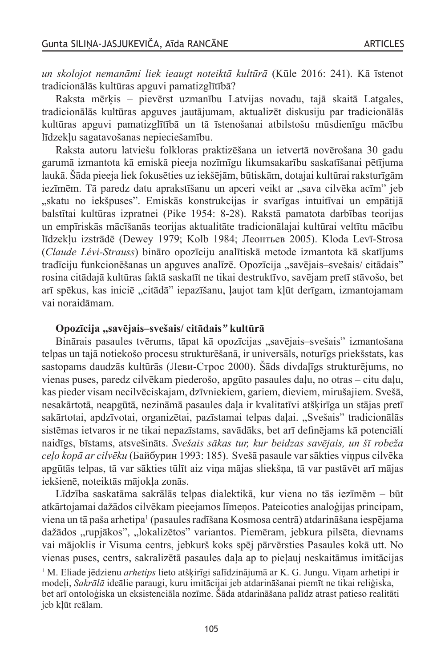*un skolojot nemanāmi liek ieaugt noteiktā kultūrā* (Kūle 2016: 241). Kā īstenot tradicionālās kultūras apguvi pamatizglītībā?

Raksta mērķis – pievērst uzmanību Latvijas novadu, tajā skaitā Latgales, tradicionālās kultūras apguves jautājumam, aktualizēt diskusiju par tradicionālās kultūras apguvi pamatizglītībā un tā īstenošanai atbilstošu mūsdienīgu mācību līdzekļu sagatavošanas nepieciešamību.

Raksta autoru latviešu folkloras praktizēšana un ietvertā novērošana 30 gadu garumā izmantota kā emiskā pieeja nozīmīgu likumsakarību saskatīšanai pētījuma laukā. Šāda pieeja liek fokusēties uz iekšējām, būtiskām, dotajai kultūrai raksturīgām iezīmēm. Tā paredz datu aprakstīšanu un apceri veikt ar "sava cilvēka acīm" jeb "skatu no iekšpuses". Emiskās konstrukcijas ir svarīgas intuitīvai un empātijā balstītai kultūras izpratnei (Pike 1954: 8-28). Rakstā pamatota darbības teorijas un empīriskās mācīšanās teorijas aktualitāte tradicionālajai kultūrai veltītu mācību līdzekļu izstrādē (Dewey 1979; Kolb 1984; Леонтьев 2005). Kloda Levī-Strosa (*Claude Lévi-Strauss*) bināro opozīciju analītiskā metode izmantota kā skatījums tradīciju funkcionēšanas un apguves analīzē. Opozīcija "savējais-svešais/ citādais" rosina citādajā kultūras faktā saskatīt ne tikai destruktīvo, savējam pretī stāvošo, bet arī spēkus, kas iniciē "citādā" iepazīšanu, ļaujot tam kļūt derīgam, izmantojamam vai noraidāmam.

#### **Opozīcija "savējais–svešais/ citādais***"* **kultūrā**

Binārais pasaules tvērums, tāpat kā opozīcijas "savējais–svešais" izmantošana telpas un tajā notiekošo procesu strukturēšanā, ir universāls, noturīgs priekšstats, kas sastopams daudzās kultūrās (Леви-Строс 2000). Šāds divdaļīgs strukturējums, no vienas puses, paredz cilvēkam piederošo, apgūto pasaules daļu, no otras – citu daļu, kas pieder visam necilvēciskajam, dzīvniekiem, gariem, dieviem, mirušajiem. Svešā, nesakārtotā, neapgūtā, nezināmā pasaules daļa ir kvalitatīvi atšķirīga un stājas pretī sakārtotai, apdzīvotai, organizētai, pazīstamai telpas daļai. "Svešais" tradicionālās sistēmas ietvaros ir ne tikai nepazīstams, savādāks, bet arī definējams kā potenciāli naidīgs, bīstams, atsvešināts. *Svešais sākas tur, kur beidzas savējais, un šī robeža ceļo kopā ar cilvēku* (Байбурин 1993: 185). Svešā pasaule var sākties viņpus cilvēka apgūtās telpas, tā var sākties tūlīt aiz viņa mājas sliekšņa, tā var pastāvēt arī mājas iekšienē, noteiktās mājokļa zonās.

Līdzība saskatāma sakrālās telpas dialektikā, kur viena no tās iezīmēm – būt atkārtojamai dažādos cilvēkam pieejamos līmeņos. Pateicoties analoģijas principam, viena un tā paša arhetipa<sup>1</sup> (pasaules radīšana Kosmosa centrā) atdarināšana iespējama dažādos "rupjākos", "lokalizētos" variantos. Piemēram, jebkura pilsēta, dievnams vai mājoklis ir Visuma centrs, jebkurš koks spēj pārvērsties Pasaules kokā utt. No vienas puses, centrs, sakralizētā pasaules daļa ap to pieļauj neskaitāmus imitācijas

<sup>1</sup> M. Eliade jēdzienu *arhetips* lieto atšķirīgi salīdzinājumā ar K. G. Jungu. Viņam arhetipi ir modeļi, *Sakrālā* ideālie paraugi, kuru imitācijai jeb atdarināšanai piemīt ne tikai reliģiska, bet arī ontoloģiska un eksistenciāla nozīme. Šāda atdarināšana palīdz atrast patieso realitāti jeb kļūt reālam.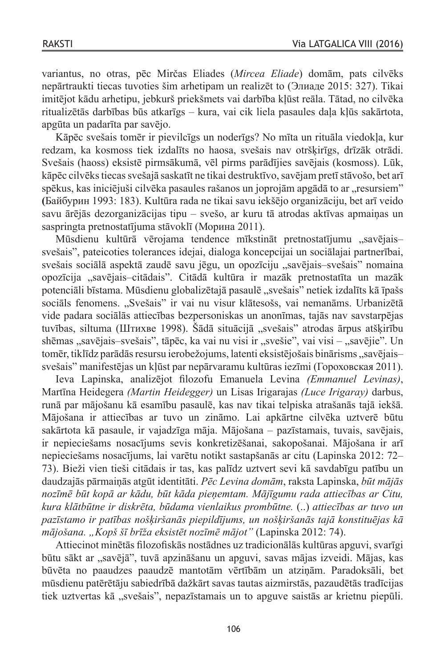variantus, no otras, pēc Mirčas Eliades (*Mircea Eliade*) domām, pats cilvēks nepārtraukti tiecas tuvoties šim arhetipam un realizēt to (Элиаде 2015: 327). Tikai imitējot kādu arhetipu, jebkurš priekšmets vai darbība kļūst reāla. Tātad, no cilvēka ritualizētās darbības būs atkarīgs – kura, vai cik liela pasaules daļa kļūs sakārtota, apgūta un padarīta par savējo.

Kāpēc svešais tomēr ir pievilcīgs un noderīgs? No mīta un rituāla viedokļa, kur redzam, ka kosmoss tiek izdalīts no haosa, svešais nav otršķirīgs, drīzāk otrādi. Svešais (haoss) eksistē pirmsākumā, vēl pirms parādījies savējais (kosmoss). Lūk, kāpēc cilvēks tiecas svešajā saskatīt ne tikai destruktīvo, savējam pretī stāvošo, bet arī  $s$ pēkus, kas iniciējuši cilvēka pasaules rašanos un joprojām apgādā to ar "resursiem" **(**Байбурин 1993: 183). Kultūra rada ne tikai savu iekšējo organizāciju, bet arī veido savu ārējās dezorganizācijas tipu – svešo, ar kuru tā atrodas aktīvas apmaiņas un saspringta pretnostatījuma stāvoklī (Морина 2011).

Mūsdienu kultūrā vērojama tendence mīkstināt pretnostatījumu "savējaissvešais", pateicoties tolerances idejai, dialoga koncepcijai un sociālajai partnerībai, svešais sociālā aspektā zaudē savu jēgu, un opozīciju "savējais–svešais" nomaina opozīcija "savējais-citādais". Citādā kultūra ir mazāk pretnostatīta un mazāk potenciāli bīstama. Mūsdienu globalizētajā pasaulē "svešais" netiek izdalīts kā īpašs sociāls fenomens. "Svešais" ir vai nu visur klātesošs, vai nemanāms. Urbanizētā vide padara sociālās attiecības bezpersoniskas un anonīmas, tajās nav savstarpējas tuvības, siltuma (Штихве 1998). Šādā situācijā "svešais" atrodas ārpus atšķirību shēmas "savējais–svešais", tāpēc, ka vai nu visi ir "svešie", vai visi – "savējie". Un tomēr, tiklīdz parādās resursu ierobežojums, latenti eksistējošais binārisms "savējais– svešais" manifestējas un kļūst par nepārvaramu kultūras iezīmi (Гороховская 2011).

Ieva Lapinska, analizējot filozofu Emanuela Levina *(Emmanuel Levinas)*, Martīna Heidegera *(Martin Heidegger)* un Lisas Irigarajas *(Luce Irigaray)* darbus, runā par mājošanu kā esamību pasaulē, kas nav tikai telpiska atrašanās tajā iekšā. Mājošana ir attiecības ar tuvo un zināmo. Lai apkārtne cilvēka uztverē būtu sakārtota kā pasaule, ir vajadzīga māja. Mājošana – pazīstamais, tuvais, savējais, ir nepieciešams nosacījums sevis konkretizēšanai, sakopošanai. Mājošana ir arī nepieciešams nosacījums, lai varētu notikt sastapšanās ar citu (Lapinska 2012: 72– 73). Bieži vien tieši citādais ir tas, kas palīdz uztvert sevi kā savdabīgu patību un daudzajās pārmaiņās atgūt identitāti. *Pēc Levina domām*, raksta Lapinska, *būt mājās nozīmē būt kopā ar kādu, būt kāda pieņemtam. Mājīgumu rada attiecības ar Citu, kura klātbūtne ir diskrēta, būdama vienlaikus prombūtne.* (..) *attiecības ar tuvo un pazīstamo ir patības nošķiršanās piepildījums, un nošķiršanās tajā konstituējas kā mājošana. "Kopš šī brīža eksistēt nozīmē mājot"* (Lapinska 2012: 74).

Attiecinot minētās filozofiskās nostādnes uz tradicionālās kultūras apguvi, svarīgi būtu sākt ar "savējā", tuvā apzināšanu un apguvi, savas mājas izveidi. Mājas, kas būvēta no paaudzes paaudzē mantotām vērtībām un atziņām. Paradoksāli, bet mūsdienu patērētāju sabiedrībā dažkārt savas tautas aizmirstās, pazaudētās tradīcijas tiek uztvertas kā "svešais", nepazīstamais un to apguve saistās ar krietnu piepūli.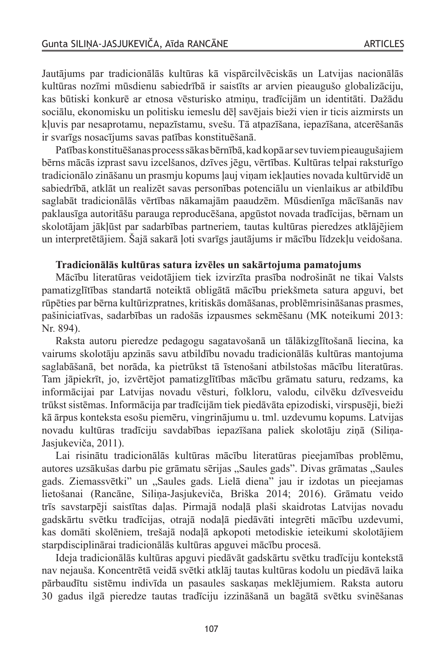Jautājums par tradicionālās kultūras kā vispārcilvēciskās un Latvijas nacionālās kultūras nozīmi mūsdienu sabiedrībā ir saistīts ar arvien pieaugušo globalizāciju, kas būtiski konkurē ar etnosa vēsturisko atmiņu, tradīcijām un identitāti. Dažādu sociālu, ekonomisku un politisku iemeslu dēļ savējais bieži vien ir ticis aizmirsts un kļuvis par nesaprotamu, nepazīstamu, svešu. Tā atpazīšana, iepazīšana, atcerēšanās ir svarīgs nosacījums savas patības konstituēšanā.

Patības konstituēšanas process sākas bērnībā, kad kopā ar sev tuviem pieaugušajiem bērns mācās izprast savu izcelšanos, dzīves jēgu, vērtības. Kultūras telpai raksturīgo tradicionālo zināšanu un prasmju kopums ļauj viņam iekļauties novada kultūrvidē un sabiedrībā, atklāt un realizēt savas personības potenciālu un vienlaikus ar atbildību saglabāt tradicionālās vērtības nākamajām paaudzēm. Mūsdienīga mācīšanās nav paklausīga autoritāšu parauga reproducēšana, apgūstot novada tradīcijas, bērnam un skolotājam jākļūst par sadarbības partneriem, tautas kultūras pieredzes atklājējiem un interpretētājiem. Šajā sakarā ļoti svarīgs jautājums ir mācību līdzekļu veidošana.

#### **Tradicionālās kultūras satura izvēles un sakārtojuma pamatojums**

Mācību literatūras veidotājiem tiek izvirzīta prasība nodrošināt ne tikai Valsts pamatizglītības standartā noteiktā obligātā mācību priekšmeta satura apguvi, bet rūpēties par bērna kultūrizpratnes, kritiskās domāšanas, problēmrisināšanas prasmes, pašiniciatīvas, sadarbības un radošās izpausmes sekmēšanu (MK noteikumi 2013: Nr. 894).

Raksta autoru pieredze pedagogu sagatavošanā un tālākizglītošanā liecina, ka vairums skolotāju apzinās savu atbildību novadu tradicionālās kultūras mantojuma saglabāšanā, bet norāda, ka pietrūkst tā īstenošani atbilstošas mācību literatūras. Tam jāpiekrīt, jo, izvērtējot pamatizglītības mācību grāmatu saturu, redzams, ka informācijai par Latvijas novadu vēsturi, folkloru, valodu, cilvēku dzīvesveidu trūkst sistēmas. Informācija par tradīcijām tiek piedāvāta epizodiski, virspusēji, bieži kā ārpus konteksta esošu piemēru, vingrinājumu u. tml. uzdevumu kopums. Latvijas novadu kultūras tradīciju savdabības iepazīšana paliek skolotāju ziņā (Siliņa-Jasjukeviča, 2011).

Lai risinātu tradicionālās kultūras mācību literatūras pieejamības problēmu, autores uzsākušas darbu pie grāmatu sērijas "Saules gads". Divas grāmatas "Saules gads. Ziemassvētki" un "Saules gads. Lielā diena" jau ir izdotas un pieejamas lietošanai (Rancāne, Siliņa-Jasjukeviča, Briška 2014; 2016). Grāmatu veido trīs savstarpēji saistītas daļas. Pirmajā nodaļā plaši skaidrotas Latvijas novadu gadskārtu svētku tradīcijas, otrajā nodaļā piedāvāti integrēti mācību uzdevumi, kas domāti skolēniem, trešajā nodaļā apkopoti metodiskie ieteikumi skolotājiem starpdisciplinārai tradicionālās kultūras apguvei mācību procesā.

Ideja tradicionālās kultūras apguvi piedāvāt gadskārtu svētku tradīciju kontekstā nav nejauša. Koncentrētā veidā svētki atklāj tautas kultūras kodolu un piedāvā laika pārbaudītu sistēmu indivīda un pasaules saskaņas meklējumiem. Raksta autoru 30 gadus ilgā pieredze tautas tradīciju izzināšanā un bagātā svētku svinēšanas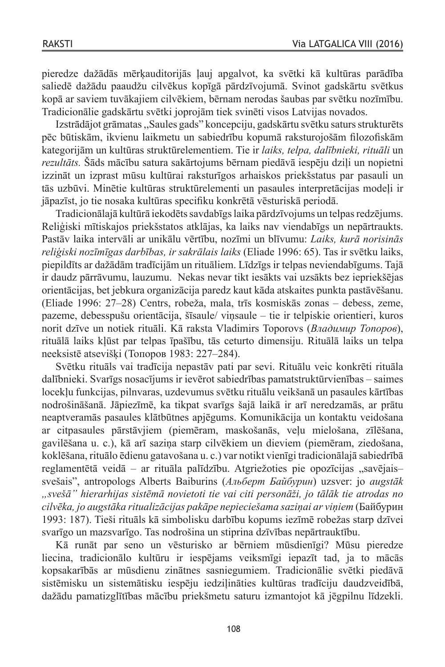pieredze dažādās mērķauditorijās ļauj apgalvot, ka svētki kā kultūras parādība saliedē dažādu paaudžu cilvēkus kopīgā pārdzīvojumā. Svinot gadskārtu svētkus kopā ar saviem tuvākajiem cilvēkiem, bērnam nerodas šaubas par svētku nozīmību. Tradicionālie gadskārtu svētki joprojām tiek svinēti visos Latvijas novados.

Izstrādājot grāmatas,,Saules gads" koncepciju, gadskārtu svētku satursstrukturēts pēc būtiskām, ikvienu laikmetu un sabiedrību kopumā raksturojošām filozofiskām kategorijām un kultūras struktūrelementiem. Tie ir *laiks, telpa, dalībnieki, rituāli* un *rezultāts.* Šāds mācību satura sakārtojums bērnam piedāvā iespēju dziļi un nopietni izzināt un izprast mūsu kultūrai raksturīgos arhaiskos priekšstatus par pasauli un tās uzbūvi. Minētie kultūras struktūrelementi un pasaules interpretācijas modeļi ir jāpazīst, jo tie nosaka kultūras specifiku konkrētā vēsturiskā periodā.

Tradicionālajā kultūrā iekodētssavdabīgslaika pārdzīvojums un telpasredzējums. Reliģiski mītiskajos priekšstatos atklājas, ka laiks nav viendabīgs un nepārtraukts. Pastāv laika intervāli ar unikālu vērtību, nozīmi un blīvumu: *Laiks, kurā norisinās reliģiski nozīmīgas darbības, ir sakrālais laiks* (Eliade 1996: 65). Tas ir svētku laiks, piepildīts ar dažādām tradīcijām un rituāliem. Līdzīgs ir telpas neviendabīgums. Tajā ir daudz pārrāvumu, lauzumu. Nekas nevar tikt iesākts vai uzsākts bez iepriekšējas orientācijas, bet jebkura organizācija paredz kaut kāda atskaites punkta pastāvēšanu. (Eliade 1996: 27–28) Centrs, robeža, mala, trīs kosmiskās zonas – debess, zeme, pazeme, debesspušu orientācija, šīsaule/ viņsaule – tie ir telpiskie orientieri, kuros norit dzīve un notiek rituāli. Kā raksta Vladimirs Toporovs (*Владимир Топоров*), rituālā laiks kļūst par telpas īpašību, tās ceturto dimensiju. Rituālā laiks un telpa neeksistē atsevišķi (Топоров 1983: 227–284).

Svētku rituāls vai tradīcija nepastāv pati par sevi. Rituālu veic konkrēti rituāla dalībnieki. Svarīgs nosacījums ir ievērot sabiedrības pamatstruktūrvienības – saimes locekļu funkcijas, pilnvaras, uzdevumus svētku rituālu veikšanā un pasaules kārtības nodrošināšanā. Jāpiezīmē, ka tikpat svarīgs šajā laikā ir arī neredzamās, ar prātu neaptveramās pasaules klātbūtnes apjēgums. Komunikācija un kontaktu veidošana ar citpasaules pārstāvjiem (piemēram, maskošanās, veļu mielošana, zīlēšana, gavilēšana u. c.), kā arī saziņa starp cilvēkiem un dieviem (piemēram, ziedošana, koklēšana, rituālo ēdienu gatavošana u. c.) var notikt vienīgi tradicionālajā sabiedrībā reglamentētā veidā – ar rituāla palīdzību. Atgriežoties pie opozīcijas "savējaissvešais", antropologs Alberts Baiburins (*Альберт Байбурин*) uzsver: jo *augstāk "svešā" hierarhijas sistēmā novietoti tie vai citi personāži, jo tālāk tie atrodas no cilvēka, jo augstāka ritualizācijas pakāpe nepieciešama saziņai ar viņiem* (Байбурин 1993: 187). Tieši rituāls kā simbolisku darbību kopums iezīmē robežas starp dzīvei svarīgo un mazsvarīgo. Tas nodrošina un stiprina dzīvības nepārtrauktību.

Kā runāt par seno un vēsturisko ar bērniem mūsdienīgi? Mūsu pieredze liecina, tradicionālo kultūru ir iespējams veiksmīgi iepazīt tad, ja to mācās kopsakarībās ar mūsdienu zinātnes sasniegumiem. Tradicionālie svētki piedāvā sistēmisku un sistemātisku iespēju iedziļināties kultūras tradīciju daudzveidībā, dažādu pamatizglītības mācību priekšmetu saturu izmantojot kā jēgpilnu līdzekli.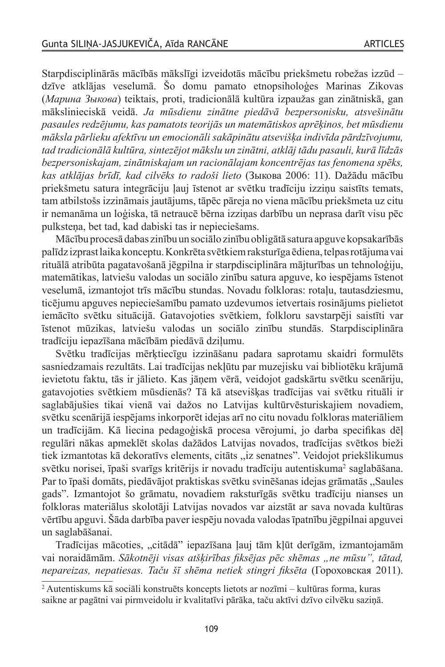Starpdisciplinārās mācībās mākslīgi izveidotās mācību priekšmetu robežas izzūd – dzīve atklājas veselumā. Šo domu pamato etnopsiholoģes Marinas Zikovas (*Марина Зыкова*) teiktais, proti, tradicionālā kultūra izpaužas gan zinātniskā, gan mākslinieciskā veidā. *Ja mūsdienu zinātne piedāvā bezpersonisku, atsvešinātu pasaules redzējumu, kas pamatots teorijās un matemātiskos aprēķinos, bet mūsdienu māksla pārlieku afektīvu un emocionāli sakāpinātu atsevišķa indivīda pārdzīvojumu, tad tradicionālā kultūra, sintezējot mākslu un zinātni, atklāj tādu pasauli, kurā līdzās bezpersoniskajam, zinātniskajam un racionālajam koncentrējas tas fenomena spēks, kas atklājas brīdī, kad cilvēks to radoši lieto* (Зыкова 2006: 11). Dažādu mācību priekšmetu satura integrāciju ļauj īstenot ar svētku tradīciju izziņu saistīts temats, tam atbilstošs izzināmais jautājums, tāpēc pāreja no viena mācību priekšmeta uz citu ir nemanāma un loģiska, tā netraucē bērna izziņas darbību un neprasa darīt visu pēc pulksteņa, bet tad, kad dabiski tas ir nepieciešams.

Mācību procesā dabas zinību un sociālo zinību obligātā satura apguve kopsakarībās palīdz izprastlaikakonceptu.Konkrēta svētkiemraksturīga ēdiena,telpasrotājumavai rituālā atribūta pagatavošanā jēgpilna ir starpdisciplināra mājturības un tehnoloģiju, matemātikas, latviešu valodas un sociālo zinību satura apguve, ko iespējams īstenot veselumā, izmantojot trīs mācību stundas. Novadu folkloras: rotaļu, tautasdziesmu, ticējumu apguves nepieciešamību pamato uzdevumos ietvertais rosinājums pielietot iemācīto svētku situācijā. Gatavojoties svētkiem, folkloru savstarpēji saistīti var īstenot mūzikas, latviešu valodas un sociālo zinību stundās. Starpdisciplināra tradīciju iepazīšana mācībām piedāvā dziļumu.

Svētku tradīcijas mērķtiecīgu izzināšanu padara saprotamu skaidri formulēts sasniedzamais rezultāts. Lai tradīcijas nekļūtu par muzejisku vai bibliotēku krājumā ievietotu faktu, tās ir jālieto. Kas jāņem vērā, veidojot gadskārtu svētku scenāriju, gatavojoties svētkiem mūsdienās? Tā kā atsevišķas tradīcijas vai svētku rituāli ir saglabājušies tikai vienā vai dažos no Latvijas kultūrvēsturiskajiem novadiem, svētku scenārijā iespējams inkorporēt idejas arī no citu novadu folkloras materiāliem un tradīcijām. Kā liecina pedagoģiskā procesa vērojumi, jo darba specifikas dēļ regulāri nākas apmeklēt skolas dažādos Latvijas novados, tradīcijas svētkos bieži tiek izmantotas kā dekoratīvs elements, citāts ,,iz senatnes". Veidojot priekšlikumus svētku norisei, īpaši svarīgs kritērijs ir novadu tradīciju autentiskuma<sup>2</sup> saglabāšana. Par to īpaši domāts, piedāvājot praktiskas svētku svinēšanas idejas grāmatās ,,Saules gads". Izmantojot šo grāmatu, novadiem raksturīgās svētku tradīciju nianses un folkloras materiālus skolotāji Latvijas novados var aizstāt ar sava novada kultūras vērtību apguvi. Šāda darbība paver iespēju novada valodasīpatnību jēgpilnai apguvei un saglabāšanai.

Tradīcijas mācoties, "citādā" iepazīšana ļauj tām kļūt derīgām, izmantojamām vai noraidāmām. *Sākotnēji visas atšķirības fiksējas pēc shēmas "ne mūsu", tātad, nepareizas, nepatiesas. Taču šī shēma netiek stingri fiksēta* (Гороховская 2011).

<sup>2</sup> Autentiskums kā sociāli konstruēts koncepts lietots ar nozīmi – kultūras forma, kuras saikne ar pagātni vai pirmveidolu ir kvalitatīvi pārāka, taču aktīvi dzīvo cilvēku saziņā.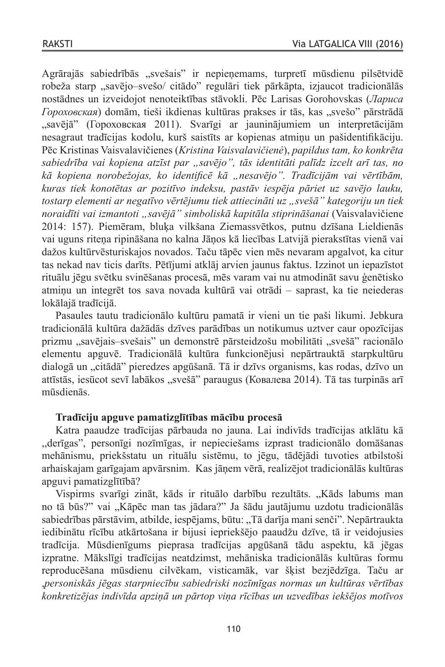Agrārajās sabiedrībās "svešais" ir nepieņemams, turpretī mūsdienu pilsētvidē robeža starp "savējo–svešo/ citādo" regulāri tiek pārkāpta, izjaucot tradicionālās nostādnes un izveidojot nenoteiktības stāvokli. Pēc Larisas Gorohovskas (*Лариса Гороховская*) domām, tieši ikdienas kultūras prakses ir tās, kas "svešo" pārstrādā "savējā" (Гороховская 2011). Svarīgi ar jauninājumiem un interpretācijām nesagraut tradīcijas kodolu, kurš saistīts ar kopienas atmiņu un pašidentifikāciju. Pēc Kristinas Vaisvalavičienes (*Kristina Vaisvalavičienė*), *papildus tam, ko konkrēta*  sabiedrība vai kopiena atzīst par "savējo", tās identitāti palīdz izcelt arī tas, no *kā kopiena norobežojas, ko identificē kā "nesavējo". Tradīcijām vai vērtībām, kuras tiek konotētas ar pozitīvo indeksu, pastāv iespēja pāriet uz savējo lauku, tostarp elementi ar negatīvo vērtējumu tiek attiecināti uz "svešā" kategoriju un tiek noraidīti vai izmantoti "savējā" simboliskā kapitāla stiprināšanai* (Vaisvalavičiene 2014: 157). Piemēram, bluķa vilkšana Ziemassvētkos, putnu dzīšana Lieldienās vai uguns riteņa ripināšana no kalna Jāņos kā liecības Latvijā pierakstītas vienā vai dažos kultūrvēsturiskajos novados. Taču tāpēc vien mēs nevaram apgalvot, ka citur tas nekad nav ticis darīts. Pētījumi atklāj arvien jaunus faktus. Izzinot un iepazīstot rituālu jēgu svētku svinēšanas procesā, mēs varam vai nu atmodināt savu ģenētisko atmiņu un integrēt tos sava novada kultūrā vai otrādi – saprast, ka tie neiederas lokālajā tradīcijā.

Pasaules tautu tradicionālo kultūru pamatā ir vieni un tie paši likumi. Jebkura tradicionālā kultūra dažādās dzīves parādības un notikumus uztver caur opozīcijas prizmu "savējais–svešais" un demonstrē pārsteidzošu mobilitāti "svešā" racionālo elementu apguvē. Tradicionālā kultūra funkcionējusi nepārtrauktā starpkultūru dialogā un "citādā" pieredzes apgūšanā. Tā ir dzīvs organisms, kas rodas, dzīvo un attīstās, iesūcot sevī labākos "svešā" paraugus (Ковалева 2014). Tā tas turpinās arī mūsdienās.

# **Tradīciju apguve pamatizglītības mācību procesā**

Katra paaudze tradīcijas pārbauda no jauna. Lai indivīds tradīcijas atklātu kā ,,derīgas", personīgi nozīmīgas, ir nepieciešams izprast tradicionālo domāšanas mehānismu, priekšstatu un rituālu sistēmu, to jēgu, tādējādi tuvoties atbilstoši arhaiskajam garīgajam apvārsnim. Kas jāņem vērā, realizējot tradicionālās kultūras apguvi pamatizglītībā?

Vispirms svarīgi zināt, kāds ir rituālo darbību rezultāts. "Kāds labums man no tā būs?" vai "Kāpēc man tas jādara?" Ja šādu jautājumu uzdotu tradicionālās sabiedrības pārstāvim, atbilde, iespējams, būtu: "Tā darīja mani senči". Nepārtraukta iedibinātu rīcību atkārtošana ir bijusi iepriekšējo paaudžu dzīve, tā ir veidojusies tradīcija. Mūsdienīgums pieprasa tradīcijas apgūšanā tādu aspektu, kā jēgas izpratne. Mākslīgi tradīcijas neatdzimst, mehāniska tradicionālās kultūras formu reproducēšana mūsdienu cilvēkam, visticamāk, var šķist bezjēdzīga. Taču ar ,*personiskās jēgas starpniecību sabiedriski nozīmīgas normas un kultūras vērtības konkretizējas indivīda apziņā un pārtop viņa rīcības un uzvedības iekšējos motīvos*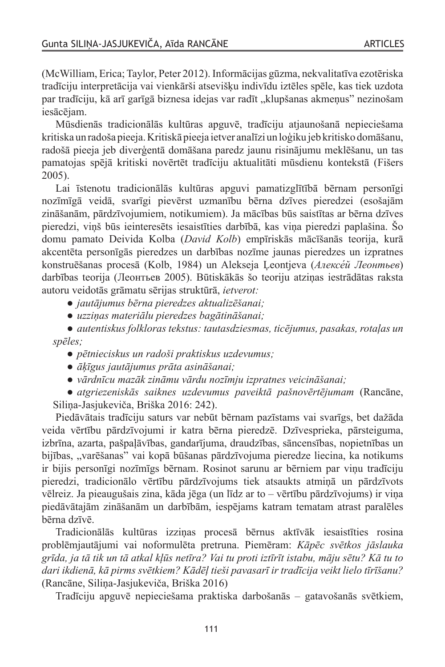(McWilliam, Erica;Taylor, Peter 2012). Informācijas gūzma, nekvalitatīva ezotēriska tradīciju interpretācija vai vienkārši atsevišķu indivīdu iztēles spēle, kas tiek uzdota par tradīciju, kā arī garīgā biznesa idejas var radīt "klupšanas akmenus" nezinošam iesācējam.

Mūsdienās tradicionālās kultūras apguvē, tradīciju atjaunošanā nepieciešama kritiska un radoša pieeja.Kritiskā pieeja ietver analīzi un loģiku jeb kritisko domāšanu, radošā pieeja jeb diverģentā domāšana paredz jaunu risinājumu meklēšanu, un tas pamatojas spējā kritiski novērtēt tradīciju aktualitāti mūsdienu kontekstā (Fišers 2005).

Lai īstenotu tradicionālās kultūras apguvi pamatizglītībā bērnam personīgi nozīmīgā veidā, svarīgi pievērst uzmanību bērna dzīves pieredzei (esošajām zināšanām, pārdzīvojumiem, notikumiem). Ja mācības būs saistītas ar bērna dzīves pieredzi, viņš būs ieinteresēts iesaistīties darbībā, kas viņa pieredzi paplašina. Šo domu pamato Deivida Kolba (*David Kolb*) empīriskās mācīšanās teorija, kurā akcentēta personīgās pieredzes un darbības nozīme jaunas pieredzes un izpratnes konstruēšanas procesā (Kolb, 1984) un Alekseja Ļeontjeva (*Алексе́ й Леонтьев*) darbības teorija (Леонтьев 2005). Būtiskākās šo teoriju atziņas iestrādātas raksta autoru veidotās grāmatu sērijas struktūrā, *ietverot:* 

● *jautājumus bērna pieredzes aktualizēšanai;* 

● *uzziņas materiālu pieredzes bagātināšanai;* 

● *autentiskus folkloras tekstus: tautasdziesmas, ticējumus, pasakas, rotaļas un spēles;* 

● *pētnieciskus un radoši praktiskus uzdevumus;* 

- ● *āķīgus jautājumus prāta asināšanai;*
- ● *vārdnīcu mazāk zināmu vārdu nozīmju izpratnes veicināšanai;*

● *atgriezeniskās saiknes uzdevumus paveiktā pašnovērtējumam* (Rancāne, Siliņa-Jasjukeviča, Briška 2016: 242).

Piedāvātais tradīciju saturs var nebūt bērnam pazīstams vai svarīgs, bet dažāda veida vērtību pārdzīvojumi ir katra bērna pieredzē. Dzīvesprieka, pārsteiguma, izbrīna, azarta, pašpaļāvības, gandarījuma, draudzības, sāncensības, nopietnības un bijības, "varēšanas" vai kopā būšanas pārdzīvojuma pieredze liecina, ka notikums ir bijis personīgi nozīmīgs bērnam. Rosinot sarunu ar bērniem par viņu tradīciju pieredzi, tradicionālo vērtību pārdzīvojums tiek atsaukts atmiņā un pārdzīvots vēlreiz. Ja pieaugušais zina, kāda jēga (un līdz ar to – vērtību pārdzīvojums) ir viņa piedāvātajām zināšanām un darbībām, iespējams katram tematam atrast paralēles bērna dzīvē.

Tradicionālās kultūras izziņas procesā bērnus aktīvāk iesaistīties rosina problēmjautājumi vai noformulēta pretruna. Piemēram: *Kāpēc svētkos jāslauka grīda, ja tā tik un tā atkal kļūs netīra? Vai tu proti iztīrīt istabu, māju sētu? Kā tu to dari ikdienā, kā pirms svētkiem? Kādēļ tieši pavasarī ir tradīcija veikt lielo tīrīšanu?*  (Rancāne, Siliņa-Jasjukeviča, Briška 2016)

Tradīciju apguvē nepieciešama praktiska darbošanās – gatavošanās svētkiem,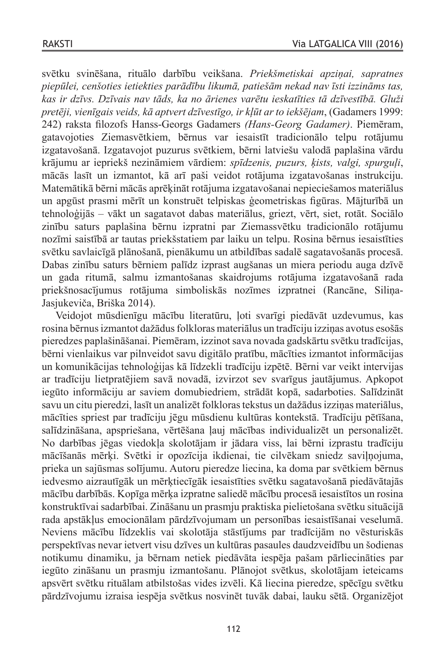svētku svinēšana, rituālo darbību veikšana. *Priekšmetiskai apziņai, sapratnes piepūlei, cenšoties ietiekties parādību likumā, patiešām nekad nav īsti izzināms tas, kas ir dzīvs. Dzīvais nav tāds, ka no ārienes varētu ieskatīties tā dzīvestībā. Gluži pretēji, vienīgais veids, kā aptvert dzīvestīgo, ir kļūt ar to iekšējam*, (Gadamers 1999: 242) raksta filozofs Hanss-Georgs Gadamers *(Hans-Georg Gadamer)*. Piemēram, gatavojoties Ziemasvētkiem, bērnus var iesaistīt tradicionālo telpu rotājumu izgatavošanā. Izgatavojot puzurus svētkiem, bērni latviešu valodā paplašina vārdu krājumu ar iepriekš nezināmiem vārdiem: *spīdzenis, puzurs, ķists, valgi, spurguļi*, mācās lasīt un izmantot, kā arī paši veidot rotājuma izgatavošanas instrukciju. Matemātikā bērni mācās aprēķināt rotājuma izgatavošanai nepieciešamos materiālus un apgūst prasmi mērīt un konstruēt telpiskas ģeometriskas figūras. Mājturībā un tehnoloģijās – vākt un sagatavot dabas materiālus, griezt, vērt, siet, rotāt. Sociālo zinību saturs paplašina bērnu izpratni par Ziemassvētku tradicionālo rotājumu nozīmi saistībā ar tautas priekšstatiem par laiku un telpu. Rosina bērnus iesaistīties svētku savlaicīgā plānošanā, pienākumu un atbildības sadalē sagatavošanās procesā. Dabas zinību saturs bērniem palīdz izprast augšanas un miera periodu auga dzīvē un gada ritumā, salmu izmantošanas skaidrojums rotājuma izgatavošanā rada priekšnosacījumus rotājuma simboliskās nozīmes izpratnei (Rancāne, Siliņa-Jasjukeviča, Briška 2014).

Veidojot mūsdienīgu mācību literatūru, ļoti svarīgi piedāvāt uzdevumus, kas rosina bērnusizmantot dažādusfolkloras materiālus un tradīciju izziņas avotus esošās pieredzes paplašināšanai. Piemēram, izzinotsava novada gadskārtu svētku tradīcijas, bērni vienlaikus var pilnveidot savu digitālo pratību, mācīties izmantot informācijas un komunikācijas tehnoloģijas kā līdzekli tradīciju izpētē. Bērni var veikt intervijas ar tradīciju lietpratējiem savā novadā, izvirzot sev svarīgus jautājumus. Apkopot iegūto informāciju ar saviem domubiedriem, strādāt kopā, sadarboties. Salīdzināt savu un citu pieredzi, lasīt un analizēt folklorastekstus un dažādusizziņas materiālus, mācīties spriest par tradīciju jēgu mūsdienu kultūras kontekstā. Tradīciju pētīšana, salīdzināšana, apspriešana, vērtēšana ļauj mācības individualizēt un personalizēt. No darbības jēgas viedokļa skolotājam ir jādara viss, lai bērni izprastu tradīciju mācīšanās mērķi. Svētki ir opozīcija ikdienai, tie cilvēkam sniedz saviļņojuma, prieka un sajūsmas solījumu. Autoru pieredze liecina, ka doma par svētkiem bērnus iedvesmo aizrautīgāk un mērķtiecīgāk iesaistīties svētku sagatavošanā piedāvātajās mācību darbībās. Kopīga mērķa izpratne saliedē mācību procesā iesaistītos un rosina konstruktīvai sadarbībai. Zināšanu un prasmju praktiska pielietošana svētku situācijā rada apstākļus emocionālam pārdzīvojumam un personības iesaistīšanai veselumā. Neviens mācību līdzeklis vai skolotāja stāstījums par tradīcijām no vēsturiskās perspektīvas nevar ietvert visu dzīves un kultūras pasaules daudzveidību un šodienas notikumu dinamiku, ja bērnam netiek piedāvāta iespēja pašam pārliecināties par iegūto zināšanu un prasmju izmantošanu. Plānojot svētkus, skolotājam ieteicams apsvērt svētku rituālam atbilstošas vides izvēli. Kā liecina pieredze, spēcīgu svētku pārdzīvojumu izraisa iespēja svētkus nosvinēt tuvāk dabai, lauku sētā. Organizējot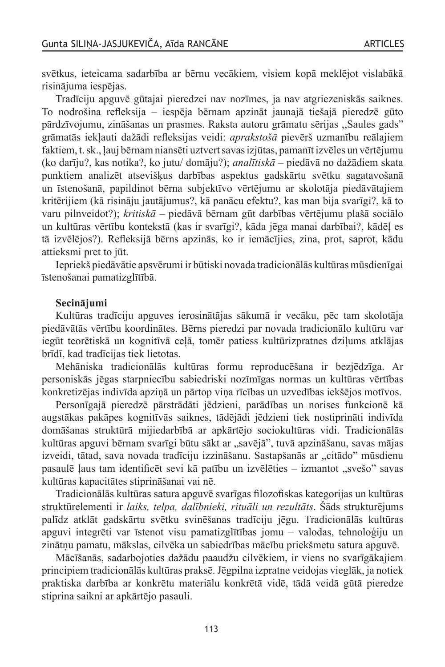svētkus, ieteicama sadarbība ar bērnu vecākiem, visiem kopā meklējot vislabākā risinājuma iespējas.

Tradīciju apguvē gūtajai pieredzei nav nozīmes, ja nav atgriezeniskās saiknes. To nodrošina refleksija – iespēja bērnam apzināt jaunajā tiešajā pieredzē gūto pārdzīvojumu, zināšanas un prasmes. Raksta autoru grāmatu sērijas ,,Saules gads" grāmatās iekļauti dažādi refleksijas veidi: *aprakstošā* pievērš uzmanību reālajiem faktiem, t. sk., ļauj bērnam niansēti uztvert savas izjūtas, pamanīt izvēles un vērtējumu (ko darīju?, kas notika?, ko jutu/ domāju?); *analītiskā* – piedāvā no dažādiem skata punktiem analizēt atsevišķus darbības aspektus gadskārtu svētku sagatavošanā un īstenošanā, papildinot bērna subjektīvo vērtējumu ar skolotāja piedāvātajiem kritērijiem (kā risināju jautājumus?, kā panācu efektu?, kas man bija svarīgi?, kā to varu pilnveidot?); *kritiskā* – piedāvā bērnam gūt darbības vērtējumu plašā sociālo un kultūras vērtību kontekstā (kas ir svarīgi?, kāda jēga manai darbībai?, kādēļ es tā izvēlējos?). Refleksijā bērns apzinās, ko ir iemācījies, zina, prot, saprot, kādu attieksmi pret to jūt.

Iepriekš piedāvātie apsvērumi ir būtiski novada tradicionālās kultūras mūsdienīgai īstenošanai pamatizglītībā.

#### **Secinājumi**

Kultūras tradīciju apguves ierosinātājas sākumā ir vecāku, pēc tam skolotāja piedāvātās vērtību koordinātes. Bērns pieredzi par novada tradicionālo kultūru var iegūt teorētiskā un kognitīvā ceļā, tomēr patiess kultūrizpratnes dziļums atklājas brīdī, kad tradīcijas tiek lietotas.

Mehāniska tradicionālās kultūras formu reproducēšana ir bezjēdzīga. Ar personiskās jēgas starpniecību sabiedriski nozīmīgas normas un kultūras vērtības konkretizējas indivīda apziņā un pārtop viņa rīcības un uzvedības iekšējos motīvos.

Personīgajā pieredzē pārstrādāti jēdzieni, parādības un norises funkcionē kā augstākas pakāpes kognitīvās saiknes, tādējādi jēdzieni tiek nostiprināti indivīda domāšanas struktūrā mijiedarbībā ar apkārtējo sociokultūras vidi. Tradicionālās kultūras apguvi bērnam svarīgi būtu sākt ar "savējā", tuvā apzināšanu, savas mājas izveidi, tātad, sava novada tradīciju izzināšanu. Sastapšanās ar "citādo" mūsdienu pasaulē ļaus tam identificēt sevi kā patību un izvēlēties – izmantot "svešo" savas kultūras kapacitātes stiprināšanai vai nē.

Tradicionālās kultūras satura apguvē svarīgas filozofiskas kategorijas un kultūras struktūrelementi ir *laiks, telpa, dalībnieki, rituāli un rezultāts*. Šāds strukturējums palīdz atklāt gadskārtu svētku svinēšanas tradīciju jēgu. Tradicionālās kultūras apguvi integrēti var īstenot visu pamatizglītības jomu – valodas, tehnoloģiju un zinātņu pamatu, mākslas, cilvēka un sabiedrības mācību priekšmetu satura apguvē.

Mācīšanās, sadarbojoties dažādu paaudžu cilvēkiem, ir viens no svarīgākajiem principiem tradicionālās kultūras praksē.Jēgpilna izpratne veidojas vieglāk, ja notiek praktiska darbība ar konkrētu materiālu konkrētā vidē, tādā veidā gūtā pieredze stiprina saikni ar apkārtējo pasauli.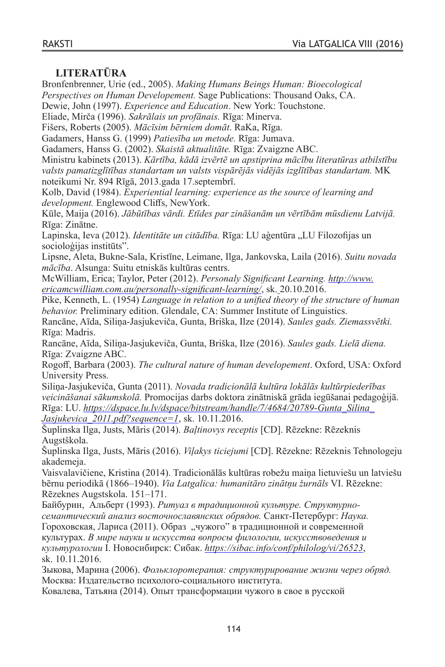# **LITERATŪRA**

Bronfenbrenner, Urie (ed., 2005). *Making Humans Beings Human: Bioecological* 

*Perspectives on Human Developement.* Sage Publications: Thousand Oaks, CA. Dewie, John (1997). *Experience and Education*. New York: Touchstone.

Eliade, Mirča (1996). *Sakrālais un profānais.* Rīga: Minerva.

Fišers, Roberts (2005). *Mācīsim bērniem domāt*. RaKa, Rīga.

Gadamers, Hanss G. (1999) *Patiesība un metode.* Rīga: Jumava.

Gadamers, Hanss G. (2002). *Skaistā aktualitāte.* Rīga: Zvaigzne ABC.

Ministru kabinets (2013). *Kārtība, kādā izvērtē un apstiprina mācību literatūras atbilstību valsts pamatizglītības standartam un valsts vispārējās vidējās izglītības standartam.* MK noteikumi Nr. 894 Rīgā, 2013.gada 17.septembrī.

Kolb, David (1984). *Experiential learning: experience as the source of learning and development.* Englewood Cliffs, NewYork.

Kūle, Maija (2016). *Jābūtības vārdi. Etīdes par zināšanām un vērtībām mūsdienu Latvijā.* Rīga: Zinātne.

Lapinska, Ieva (2012). *Identitāte un citādība*. Rīga: LU aģentūra "LU Filozofijas un socioloģijas institūts".

Lipsne, Aleta, Bukne-Sala, Kristīne, Leimane, Ilga, Jankovska, Laila (2016). *Suitu novada mācība*. Alsunga: Suitu etniskās kultūras centrs.

McWilliam, Erica; Taylor, Peter (2012). *Personaly Significant Learning. [http://www.](http://www.ericamcwilliam.com.au/personally-significant-learning/) [ericamcwilliam.com.au/personally-significant-learning/](http://www.ericamcwilliam.com.au/personally-significant-learning/)*, sk. 20.10.2016.

Pike, Kenneth, L. (1954) *Language in relation to a unified theory of the structure of human behavior.* Preliminary edition. Glendale, CA: Summer Institute of Linguistics.

Rancāne, Aīda, Siliņa-Jasjukeviča, Gunta, Briška, Ilze (2014). *Saules gads. Ziemassvētki.* Rīga: Madris.

Rancāne, Aīda, Siliņa-Jasjukeviča, Gunta, Briška, Ilze (2016). *Saules gads. Lielā diena.* Rīga: Zvaigzne ABC.

Rogoff, Barbara (2003). *The cultural nature of human developement*. Oxford, USA: Oxford University Press.

Siliņa-Jasjukeviča, Gunta (2011). *Novada tradicionālā kultūra lokālās kultūrpiederības veicināšanai sākumskolā.* Promocijas darbs doktora zinātniskā grāda iegūšanai pedagoģijā. Rīga: LU. *[https://dspace.lu.lv/dspace/bitstream/handle/7/4684/20789-Gunta\\_Silina\\_](https://dspace.lu.lv/dspace/bitstream/handle/7/4684/20789-Gunta_Silina_Jasjukevica_2011.pdf?sequence=1) [Jasjukevica\\_2011.pdf?sequence=1](https://dspace.lu.lv/dspace/bitstream/handle/7/4684/20789-Gunta_Silina_Jasjukevica_2011.pdf?sequence=1)*, sk. 10.11.2016.

Šuplinska Ilga, Justs, Māris (2014). *Baļtinovys receptis* [CD]. Rēzekne: Rēzeknis Augstškola.

Šuplinska Ilga, Justs, Māris (2016). *Viļakys ticiejumi* [CD]. Rēzekne: Rēzeknis Tehnologeju akademeja.

Vaisvalavičiene, Kristina (2014). Tradicionālās kultūras robežu maiņa lietuviešu un latviešu bērnu periodikā (1866–1940). *Via Latgalica: humanitāro zinātņu žurnāls* VI. Rēzekne: Rēzeknes Augstskola. 151–171.

Байбурин, Альберт (1993). *Ритуал в традиционной культуре. Структурносемантический анализ восточнославянских обрядов.* Санкт-Петербург: *Наука.*

Гороховская, Лариса (2011). Образ "чужого" в традиционной и современной культурах. *В мире науки и искусства вопросы филологии, искусствоведения и культурологии* I. Новосибирск: Сибак. *<https://sibac.info/conf/philolog/vi/26523>*, sk. 10.11.2016.

Зыкова, Марина (2006). *Фольклоротерапия: структурирование жизни через обряд.* Москва: Издательство психолого-социального института.

Ковалева, Татьянa (2014). Опыт трансформации чужого в свое в русской